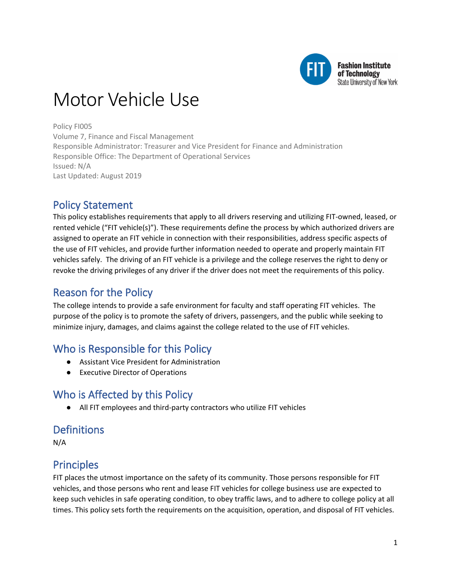

# Motor Vehicle Use

Policy FI005 Volume 7, Finance and Fiscal Management Responsible Administrator: Treasurer and Vice President for Finance and Administration Responsible Office: The Department of Operational Services Issued: N/A Last Updated: August 2019

# Policy Statement

This policy establishes requirements that apply to all drivers reserving and utilizing FIT-owned, leased, or rented vehicle ("FIT vehicle(s)"). These requirements define the process by which authorized drivers are assigned to operate an FIT vehicle in connection with their responsibilities, address specific aspects of the use of FIT vehicles, and provide further information needed to operate and properly maintain FIT vehicles safely. The driving of an FIT vehicle is a privilege and the college reserves the right to deny or revoke the driving privileges of any driver if the driver does not meet the requirements of this policy.

# Reason for the Policy

The college intends to provide a safe environment for faculty and staff operating FIT vehicles. The purpose of the policy is to promote the safety of drivers, passengers, and the public while seeking to minimize injury, damages, and claims against the college related to the use of FIT vehicles.

# Who is Responsible for this Policy

- Assistant Vice President for Administration
- Executive Director of Operations

# Who is Affected by this Policy

● All FIT employees and third-party contractors who utilize FIT vehicles

# **Definitions**

N/A

# Principles

FIT places the utmost importance on the safety of its community. Those persons responsible for FIT vehicles, and those persons who rent and lease FIT vehicles for college business use are expected to keep such vehicles in safe operating condition, to obey traffic laws, and to adhere to college policy at all times. This policy sets forth the requirements on the acquisition, operation, and disposal of FIT vehicles.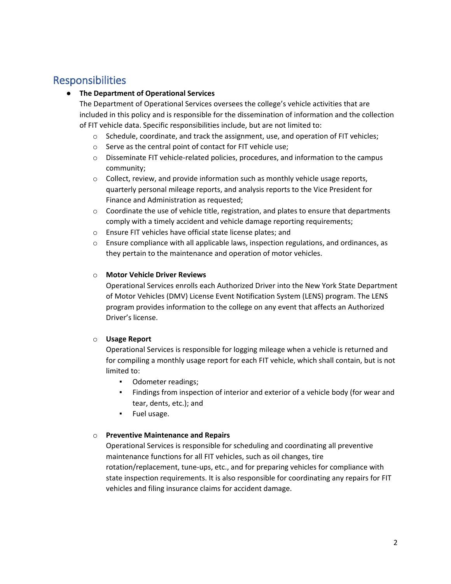# Responsibilities

### ● **The Department of Operational Services**

The Department of Operational Services oversees the college's vehicle activities that are included in this policy and is responsible for the dissemination of information and the collection of FIT vehicle data. Specific responsibilities include, but are not limited to:

- $\circ$  Schedule, coordinate, and track the assignment, use, and operation of FIT vehicles;
- o Serve as the central point of contact for FIT vehicle use;
- $\circ$  Disseminate FIT vehicle-related policies, procedures, and information to the campus community;
- o Collect, review, and provide information such as monthly vehicle usage reports, quarterly personal mileage reports, and analysis reports to the Vice President for Finance and Administration as requested;
- $\circ$  Coordinate the use of vehicle title, registration, and plates to ensure that departments comply with a timely accident and vehicle damage reporting requirements;
- o Ensure FIT vehicles have official state license plates; and
- $\circ$  Ensure compliance with all applicable laws, inspection regulations, and ordinances, as they pertain to the maintenance and operation of motor vehicles.

### o **Motor Vehicle Driver Reviews**

Operational Services enrolls each Authorized Driver into the New York State Department of Motor Vehicles (DMV) License Event Notification System (LENS) program. The LENS program provides information to the college on any event that affects an Authorized Driver's license.

### o **Usage Report**

Operational Services is responsible for logging mileage when a vehicle is returned and for compiling a monthly usage report for each FIT vehicle, which shall contain, but is not limited to:

- Odometer readings;
- Findings from inspection of interior and exterior of a vehicle body (for wear and tear, dents, etc.); and
- Fuel usage.

### o **Preventive Maintenance and Repairs**

Operational Services is responsible for scheduling and coordinating all preventive maintenance functions for all FIT vehicles, such as oil changes, tire rotation/replacement, tune-ups, etc., and for preparing vehicles for compliance with state inspection requirements. It is also responsible for coordinating any repairs for FIT vehicles and filing insurance claims for accident damage.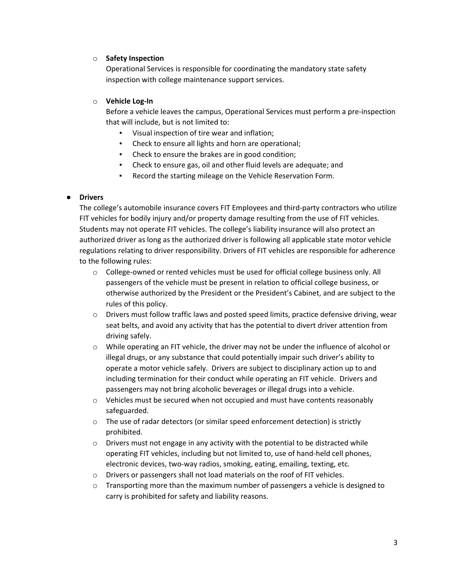### o **Safety Inspection**

Operational Services is responsible for coordinating the mandatory state safety inspection with college maintenance support services.

### o **Vehicle Log-In**

Before a vehicle leaves the campus, Operational Services must perform a pre-inspection that will include, but is not limited to:

- Visual inspection of tire wear and inflation;
- Check to ensure all lights and horn are operational;
- Check to ensure the brakes are in good condition;
- Check to ensure gas, oil and other fluid levels are adequate; and
- Record the starting mileage on the Vehicle Reservation Form.

### ● **Drivers**

The college's automobile insurance covers FIT Employees and third-party contractors who utilize FIT vehicles for bodily injury and/or property damage resulting from the use of FIT vehicles. Students may not operate FIT vehicles. The college's liability insurance will also protect an authorized driver as long as the authorized driver is following all applicable state motor vehicle regulations relating to driver responsibility. Drivers of FIT vehicles are responsible for adherence to the following rules:

- o College-owned or rented vehicles must be used for official college business only. All passengers of the vehicle must be present in relation to official college business, or otherwise authorized by the President or the President's Cabinet, and are subject to the rules of this policy.
- $\circ$  Drivers must follow traffic laws and posted speed limits, practice defensive driving, wear seat belts, and avoid any activity that has the potential to divert driver attention from driving safely.
- o While operating an FIT vehicle, the driver may not be under the influence of alcohol or illegal drugs, or any substance that could potentially impair such driver's ability to operate a motor vehicle safely. Drivers are subject to disciplinary action up to and including termination for their conduct while operating an FIT vehicle. Drivers and passengers may not bring alcoholic beverages or illegal drugs into a vehicle.
- $\circ$  Vehicles must be secured when not occupied and must have contents reasonably safeguarded.
- o The use of radar detectors (or similar speed enforcement detection) is strictly prohibited.
- $\circ$  Drivers must not engage in any activity with the potential to be distracted while operating FIT vehicles, including but not limited to, use of hand-held cell phones, electronic devices, two-way radios, smoking, eating, emailing, texting, etc.
- o Drivers or passengers shall not load materials on the roof of FIT vehicles.
- $\circ$  Transporting more than the maximum number of passengers a vehicle is designed to carry is prohibited for safety and liability reasons.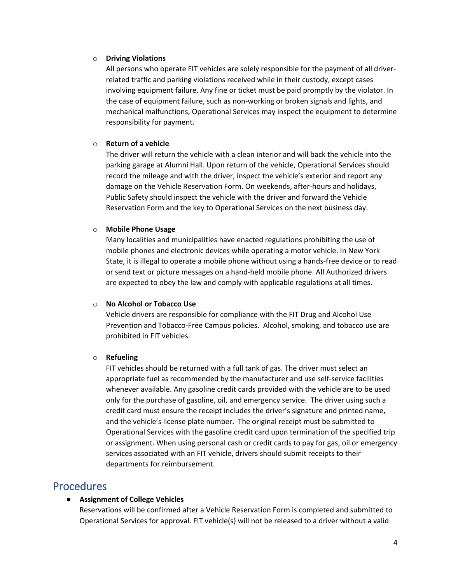#### o **Driving Violations**

All persons who operate FIT vehicles are solely responsible for the payment of all driverrelated traffic and parking violations received while in their custody, except cases involving equipment failure. Any fine or ticket must be paid promptly by the violator. In the case of equipment failure, such as non-working or broken signals and lights, and mechanical malfunctions, Operational Services may inspect the equipment to determine responsibility for payment.

#### o **Return of a vehicle**

The driver will return the vehicle with a clean interior and will back the vehicle into the parking garage at Alumni Hall. Upon return of the vehicle, Operational Services should record the mileage and with the driver, inspect the vehicle's exterior and report any damage on the Vehicle Reservation Form. On weekends, after-hours and holidays, Public Safety should inspect the vehicle with the driver and forward the Vehicle Reservation Form and the key to Operational Services on the next business day.

#### o **Mobile Phone Usage**

Many localities and municipalities have enacted regulations prohibiting the use of mobile phones and electronic devices while operating a motor vehicle. In New York State, it is illegal to operate a mobile phone without using a hands-free device or to read or send text or picture messages on a hand-held mobile phone. All Authorized drivers are expected to obey the law and comply with applicable regulations at all times.

#### o **No Alcohol or Tobacco Use**

Vehicle drivers are responsible for compliance with the FIT Drug and Alcohol Use Prevention and Tobacco-Free Campus policies. Alcohol, smoking, and tobacco use are prohibited in FIT vehicles.

#### o **Refueling**

FIT vehicles should be returned with a full tank of gas. The driver must select an appropriate fuel as recommended by the manufacturer and use self-service facilities whenever available. Any gasoline credit cards provided with the vehicle are to be used only for the purchase of gasoline, oil, and emergency service. The driver using such a credit card must ensure the receipt includes the driver's signature and printed name, and the vehicle's license plate number. The original receipt must be submitted to Operational Services with the gasoline credit card upon termination of the specified trip or assignment. When using personal cash or credit cards to pay for gas, oil or emergency services associated with an FIT vehicle, drivers should submit receipts to their departments for reimbursement.

### Procedures

#### ● **Assignment of College Vehicles**

Reservations will be confirmed after a Vehicle Reservation Form is completed and submitted to Operational Services for approval. FIT vehicle(s) will not be released to a driver without a valid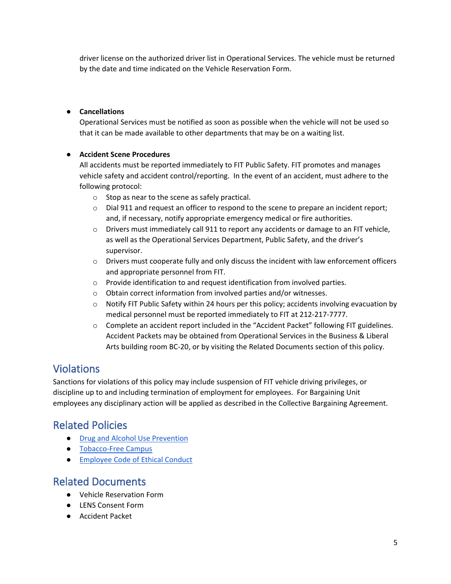driver license on the authorized driver list in Operational Services. The vehicle must be returned by the date and time indicated on the Vehicle Reservation Form.

### ● **Cancellations**

Operational Services must be notified as soon as possible when the vehicle will not be used so that it can be made available to other departments that may be on a waiting list.

### ● **Accident Scene Procedures**

All accidents must be reported immediately to FIT Public Safety. FIT promotes and manages vehicle safety and accident control/reporting. In the event of an accident, must adhere to the following protocol:

- o Stop as near to the scene as safely practical.
- $\circ$  Dial 911 and request an officer to respond to the scene to prepare an incident report; and, if necessary, notify appropriate emergency medical or fire authorities.
- $\circ$  Drivers must immediately call 911 to report any accidents or damage to an FIT vehicle, as well as the Operational Services Department, Public Safety, and the driver's supervisor.
- $\circ$  Drivers must cooperate fully and only discuss the incident with law enforcement officers and appropriate personnel from FIT.
- o Provide identification to and request identification from involved parties.
- o Obtain correct information from involved parties and/or witnesses.
- o Notify FIT Public Safety within 24 hours per this policy; accidents involving evacuation by medical personnel must be reported immediately to FIT at 212-217-7777.
- o Complete an accident report included in the "Accident Packet" following FIT guidelines. Accident Packets may be obtained from Operational Services in the Business & Liberal Arts building room BC-20, or by visiting the Related Documents section of this policy.

# Violations

Sanctions for violations of this policy may include suspension of FIT vehicle driving privileges, or discipline up to and including termination of employment for employees. For Bargaining Unit employees any disciplinary action will be applied as described in the Collective Bargaining Agreement.

# Related Policies

- [Drug and Alcohol Use Prevention](https://www.fitnyc.edu/about/policies/enrollment-management/drug-alcohol-abuse-prevention.php)
- [Tobacco-Free Campus](https://www.fitnyc.edu/about/policies/college/smoking-tobacco.php)
- [Employee Code of Ethical Conduct](https://www.fitnyc.edu/about/policies/hr/employee-code-of-ethical-conduct.php)

### Related Documents

- Vehicle Reservation Form
- LENS Consent Form
- Accident Packet